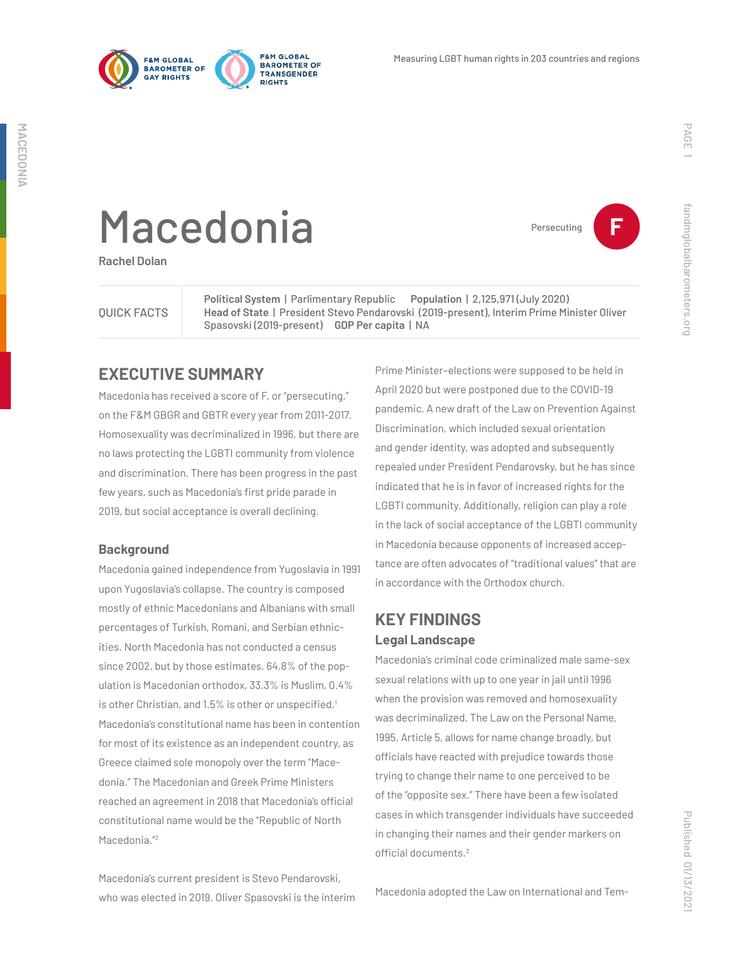



Persecuting **F**

fandmglobalbarometers.org

fandmglobalbarometers.org

# Macedonia

**Rachel Dolan**

#### QUICK FACTS

**Political System** | Parlimentary Republic **Population** | 2,125,971 (July 2020) **Head of State** | President Stevo Pendarovski (2019-present), Interim Prime Minister Oliver Spasovski (2019-present) **GDP Per capita** | NA

### **EXECUTIVE SUMMARY**

Macedonia has received a score of F, or "persecuting," on the F&M GBGR and GBTR every year from 2011-2017. Homosexuality was decriminalized in 1996, but there are no laws protecting the LGBTI community from violence and discrimination. There has been progress in the past few years, such as Macedonia's first pride parade in 2019, but social acceptance is overall declining.

#### **Background**

Macedonia gained independence from Yugoslavia in 1991 upon Yugoslavia's collapse. The country is composed mostly of ethnic Macedonians and Albanians with small percentages of Turkish, Romani, and Serbian ethnicities. North Macedonia has not conducted a census since 2002, but by those estimates, 64.8% of the population is Macedonian orthodox, 33.3% is Muslim, 0.4% is other Christian, and 1.5% is other or unspecified.<sup>1</sup> Macedonia's constitutional name has been in contention for most of its existence as an independent country, as Greece claimed sole monopoly over the term "Macedonia." The Macedonian and Greek Prime Ministers reached an agreement in 2018 that Macedonia's official constitutional name would be the "Republic of North Macedonia."2

Macedonia's current president is Stevo Pendarovski, who was elected in 2019. Oliver Spasovski is the interim

Prime Minister–elections were supposed to be held in April 2020 but were postponed due to the COVID-19 pandemic. A new draft of the Law on Prevention Against Discrimination, which included sexual orientation and gender identity, was adopted and subsequently repealed under President Pendarovsky, but he has since indicated that he is in favor of increased rights for the LGBTI community. Additionally, religion can play a role in the lack of social acceptance of the LGBTI community in Macedonia because opponents of increased acceptance are often advocates of "traditional values" that are in accordance with the Orthodox church.

# **KEY FINDINGS Legal Landscape**

Macedonia's criminal code criminalized male same-sex sexual relations with up to one year in jail until 1996 when the provision was removed and homosexuality was decriminalized. The Law on the Personal Name, 1995, Article 5, allows for name change broadly, but officials have reacted with prejudice towards those trying to change their name to one perceived to be of the "opposite sex." There have been a few isolated cases in which transgender individuals have succeeded in changing their names and their gender markers on official documents.<sup>3</sup>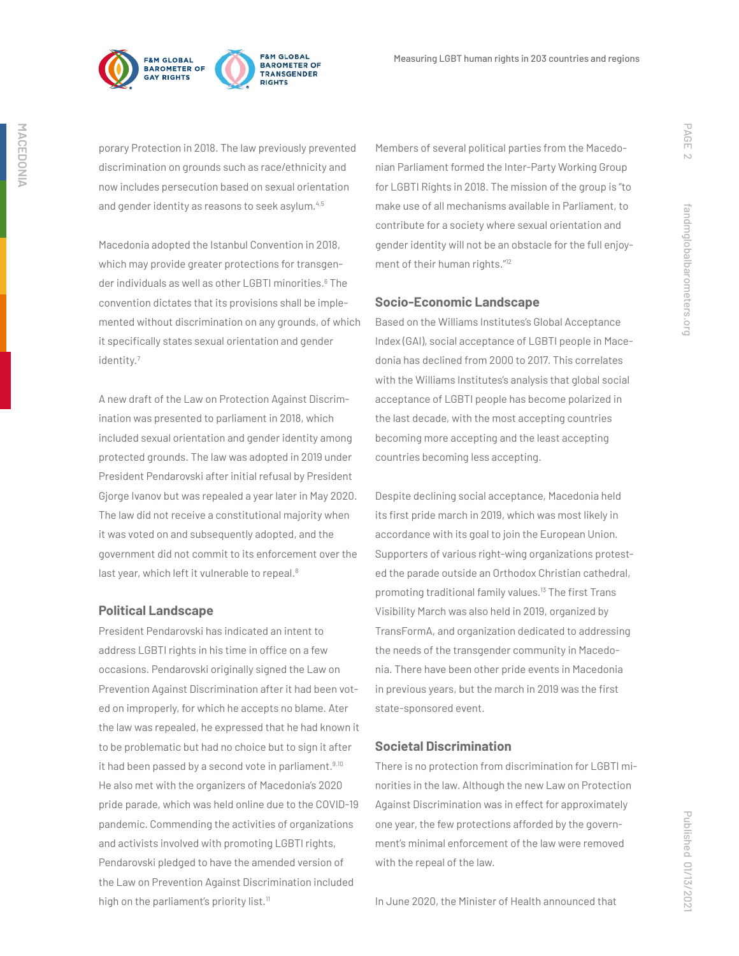

porary Protection in 2018. The law previously prevented discrimination on grounds such as race/ethnicity and now includes persecution based on sexual orientation and gender identity as reasons to seek asylum.<sup>4,5</sup>

Macedonia adopted the Istanbul Convention in 2018, which may provide greater protections for transgender individuals as well as other LGBTI minorities.<sup>6</sup> The convention dictates that its provisions shall be implemented without discrimination on any grounds, of which it specifically states sexual orientation and gender identity.7

A new draft of the Law on Protection Against Discrimination was presented to parliament in 2018, which included sexual orientation and gender identity among protected grounds. The law was adopted in 2019 under President Pendarovski after initial refusal by President Gjorge Ivanov but was repealed a year later in May 2020. The law did not receive a constitutional majority when it was voted on and subsequently adopted, and the government did not commit to its enforcement over the last year, which left it vulnerable to repeal.<sup>8</sup>

#### **Political Landscape**

President Pendarovski has indicated an intent to address LGBTI rights in his time in office on a few occasions. Pendarovski originally signed the Law on Prevention Against Discrimination after it had been voted on improperly, for which he accepts no blame. Ater the law was repealed, he expressed that he had known it to be problematic but had no choice but to sign it after it had been passed by a second vote in parliament.<sup>9.10</sup> He also met with the organizers of Macedonia's 2020 pride parade, which was held online due to the COVID-19 pandemic. Commending the activities of organizations and activists involved with promoting LGBTI rights, Pendarovski pledged to have the amended version of the Law on Prevention Against Discrimination included high on the parliament's priority list.<sup>11</sup>

Members of several political parties from the Macedonian Parliament formed the Inter-Party Working Group for LGBTI Rights in 2018. The mission of the group is "to make use of all mechanisms available in Parliament, to contribute for a society where sexual orientation and gender identity will not be an obstacle for the full enjoyment of their human rights."12

#### **Socio-Economic Landscape**

Based on the Williams Institutes's Global Acceptance Index (GAI), social acceptance of LGBTI people in Macedonia has declined from 2000 to 2017. This correlates with the Williams Institutes's analysis that global social acceptance of LGBTI people has become polarized in the last decade, with the most accepting countries becoming more accepting and the least accepting countries becoming less accepting.

Despite declining social acceptance, Macedonia held its first pride march in 2019, which was most likely in accordance with its goal to join the European Union. Supporters of various right-wing organizations protested the parade outside an Orthodox Christian cathedral, promoting traditional family values.13 The first Trans Visibility March was also held in 2019, organized by TransFormA, and organization dedicated to addressing the needs of the transgender community in Macedonia. There have been other pride events in Macedonia in previous years, but the march in 2019 was the first state-sponsored event.

#### **Societal Discrimination**

There is no protection from discrimination for LGBTI minorities in the law. Although the new Law on Protection Against Discrimination was in effect for approximately one year, the few protections afforded by the government's minimal enforcement of the law were removed with the repeal of the law.

PAGE 2

fandmglobalbarometers.org

fandmglobalbarometers.org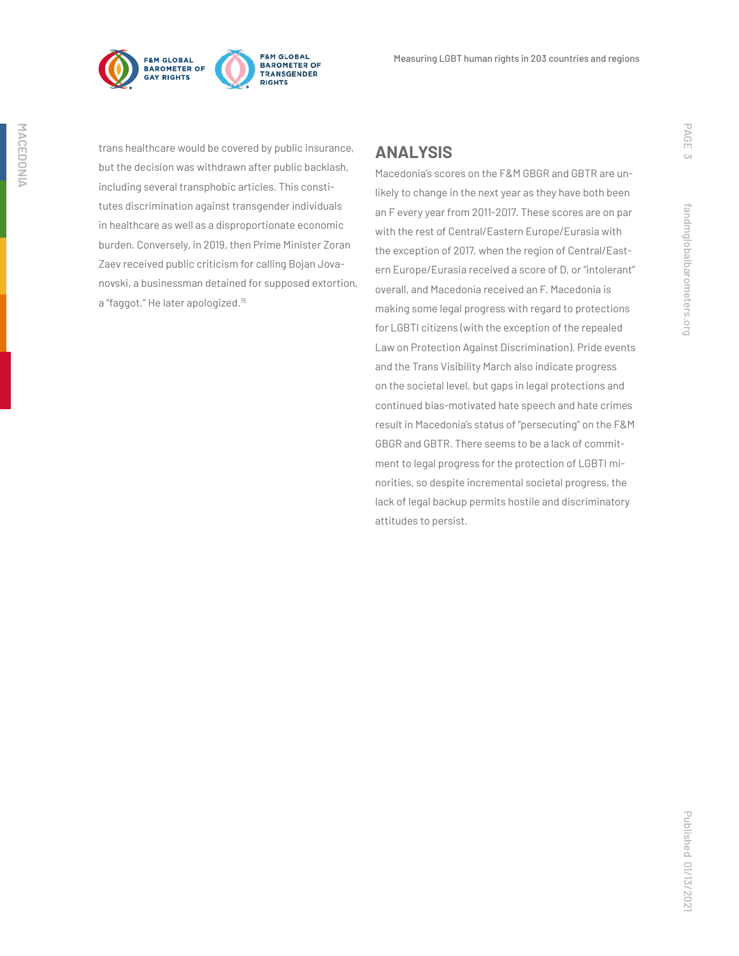

**F&M GLOBAL** BAROMETER OF TRANSGENDER **RIGHTS** 

trans healthcare would be covered by public insurance, but the decision was withdrawn after public backlash, including several transphobic articles. This constitutes discrimination against transgender individuals in healthcare as well as a disproportionate economic burden. Conversely, in 2019, then Prime Minister Zoran Zaev received public criticism for calling Bojan Jovanovski, a businessman detained for supposed extortion, a "faggot." He later apologized.15

## **ANALYSIS**

Macedonia's scores on the F&M GBGR and GBTR are unlikely to change in the next year as they have both been an F every year from 2011-2017. These scores are on par with the rest of Central/Eastern Europe/Eurasia with the exception of 2017, when the region of Central/Eastern Europe/Eurasia received a score of D, or "intolerant" overall, and Macedonia received an F. Macedonia is making some legal progress with regard to protections for LGBTI citizens (with the exception of the repealed Law on Protection Against Discrimination). Pride events and the Trans Visibility March also indicate progress on the societal level, but gaps in legal protections and continued bias-motivated hate speech and hate crimes result in Macedonia's status of "persecuting" on the F&M GBGR and GBTR. There seems to be a lack of commitment to legal progress for the protection of LGBTI minorities, so despite incremental societal progress, the lack of legal backup permits hostile and discriminatory attitudes to persist.

PAGE 3

fandmglobalbarometers.org

fandmglobalbarometers.org